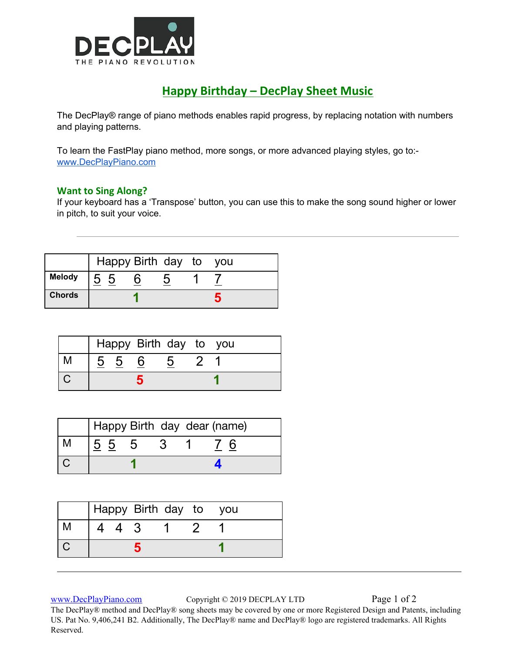

## **Happy Birthday – DecPlay Sheet Music**

The DecPlay® range of piano methods enables rapid progress, by replacing notation with numbers and playing patterns.

To learn the FastPlay piano method, more songs, or more advanced playing styles, go to: [www.DecPlayPiano.com](http://www.decplaypiano.com/)

## **Want to Sing Along?**

If your keyboard has a 'Transpose' button, you can use this to make the song sound higher or lower in pitch, to suit your voice.

|               |    | Happy Birth day to you |  |  |
|---------------|----|------------------------|--|--|
| <b>Melody</b> | 55 |                        |  |  |
| <b>Chords</b> |    |                        |  |  |

|  |                 | Happy Birth day to you |   |  |
|--|-----------------|------------------------|---|--|
|  | $\frac{5}{6}$ 5 |                        | 5 |  |
|  |                 |                        |   |  |

| Happy Birth day dear (name) |    |  |
|-----------------------------|----|--|
| $5\,5\,5$                   | -3 |  |
|                             |    |  |

|   |       | Happy Birth day to you |  |  |
|---|-------|------------------------|--|--|
| М | 4 4 3 |                        |  |  |
|   |       |                        |  |  |
|   |       |                        |  |  |

[www.DecPlayPiano.com](http://www.decplaypiano.com/) Copyright © 2019 DECPLAY LTD Page 1 of 2

The DecPlay® method and DecPlay® song sheets may be covered by one or more Registered Design and Patents, including US. Pat No. 9,406,241 B2. Additionally, The DecPlay® name and DecPlay® logo are registered trademarks. All Rights Reserved.